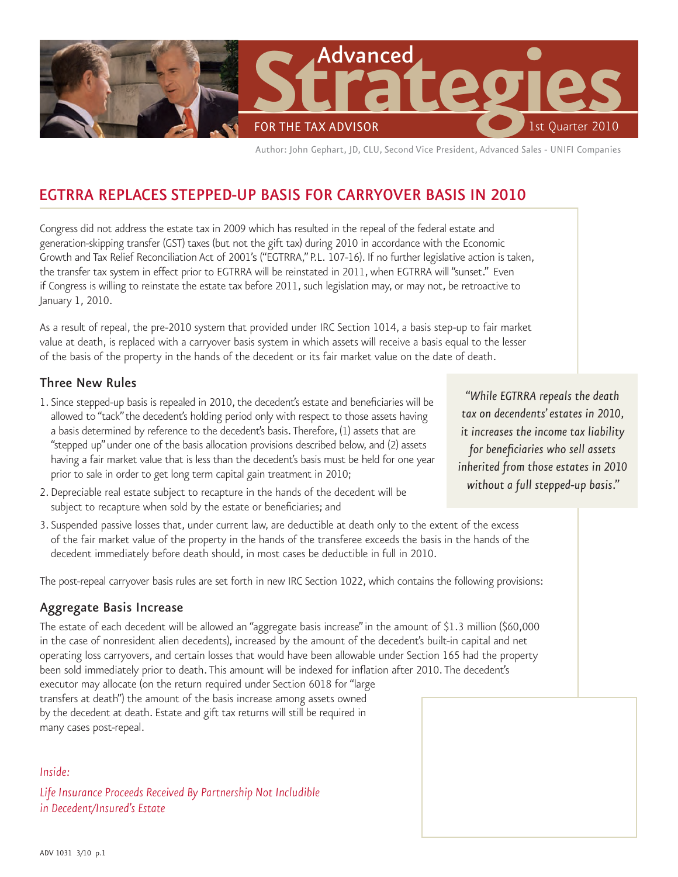

Author: John Gephart, JD, CLU, Second Vice President, Advanced Sales - UNIFI Companies

# EGTRRA Replaces Stepped-Up Basis FOR CARRYOVER BASIS IN 2010

Congress did not address the estate tax in 2009 which has resulted in the repeal of the federal estate and generation-skipping transfer (GST) taxes (but not the gift tax) during 2010 in accordance with the Economic Growth and Tax Relief Reconciliation Act of 2001's ("EGTRRA," P.L. 107-16). If no further legislative action is taken, the transfer tax system in effect prior to EGTRRA will be reinstated in 2011, when EGTRRA will "sunset." Even if Congress is willing to reinstate the estate tax before 2011, such legislation may, or may not, be retroactive to January 1, 2010.

As a result of repeal, the pre-2010 system that provided under IRC Section 1014, a basis step-up to fair market value at death, is replaced with a carryover basis system in which assets will receive a basis equal to the lesser of the basis of the property in the hands of the decedent or its fair market value on the date of death.

#### Three New Rules

- 1. Since stepped-up basis is repealed in 2010, the decedent's estate and beneficiaries will be allowed to "tack" the decedent's holding period only with respect to those assets having a basis determined by reference to the decedent's basis. Therefore, (1) assets that are "stepped up" under one of the basis allocation provisions described below, and (2) assets having a fair market value that is less than the decedent's basis must be held for one year prior to sale in order to get long term capital gain treatment in 2010;
- 2. Depreciable real estate subject to recapture in the hands of the decedent will be subject to recapture when sold by the estate or beneficiaries; and
- 3. Suspended passive losses that, under current law, are deductible at death only to the extent of the excess of the fair market value of the property in the hands of the transferee exceeds the basis in the hands of the decedent immediately before death should, in most cases be deductible in full in 2010.

The post-repeal carryover basis rules are set forth in new IRC Section 1022, which contains the following provisions:

#### Aggregate Basis Increase

The estate of each decedent will be allowed an "aggregate basis increase" in the amount of \$1.3 million (\$60,000 in the case of nonresident alien decedents), increased by the amount of the decedent's built-in capital and net operating loss carryovers, and certain losses that would have been allowable under Section 165 had the property been sold immediately prior to death. This amount will be indexed for inflation after 2010. The decedent's executor may allocate (on the return required under Section 6018 for "large transfers at death") the amount of the basis increase among assets owned by the decedent at death. Estate and gift tax returns will still be required in many cases post-repeal.

#### *Inside:*

*Life Insurance Proceeds Received By Partnership Not Includible in Decedent/Insured's Estate*

*"While EGTRRA repeals the death tax on decendents' estates in 2010, it increases the income tax liability for beneficiaries who sell assets inherited from those estates in 2010 without a full stepped-up basis."*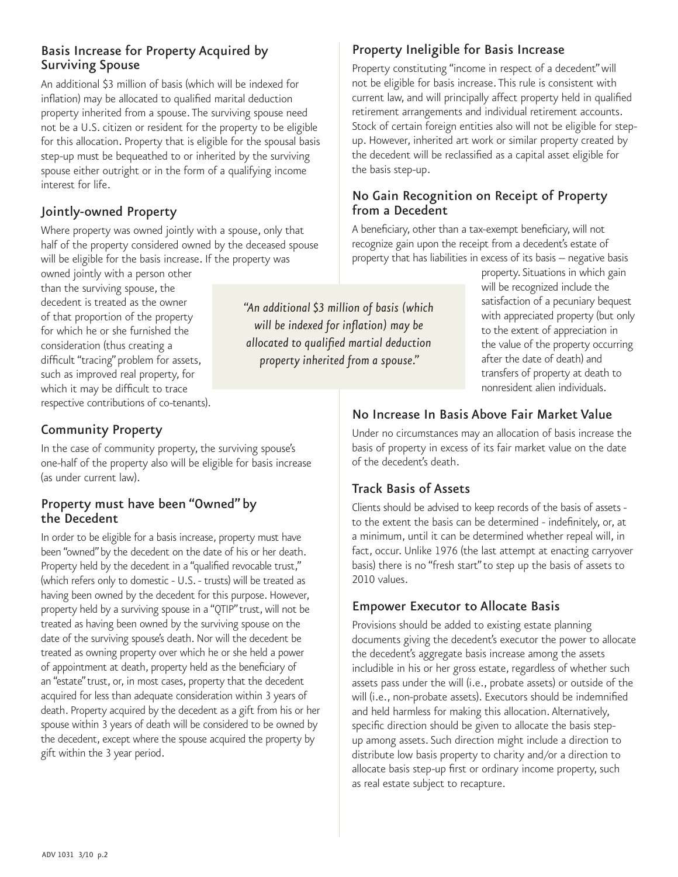#### Basis Increase for Property Acquired by Surviving Spouse

An additional \$3 million of basis (which will be indexed for inflation) may be allocated to qualified marital deduction property inherited from a spouse. The surviving spouse need not be a U.S. citizen or resident for the property to be eligible for this allocation. Property that is eligible for the spousal basis step-up must be bequeathed to or inherited by the surviving spouse either outright or in the form of a qualifying income interest for life.

#### Jointly-owned Property

Where property was owned jointly with a spouse, only that half of the property considered owned by the deceased spouse will be eligible for the basis increase. If the property was

owned jointly with a person other than the surviving spouse, the decedent is treated as the owner of that proportion of the property for which he or she furnished the consideration (thus creating a difficult "tracing" problem for assets, such as improved real property, for which it may be difficult to trace respective contributions of co-tenants).

# Community Property

In the case of community property, the surviving spouse's one-half of the property also will be eligible for basis increase (as under current law).

# Property must have been "Owned" by<br>the Decedent

In order to be eligible for a basis increase, property must have been "owned" by the decedent on the date of his or her death. Property held by the decedent in a "qualified revocable trust," (which refers only to domestic - U.S. - trusts) will be treated as having been owned by the decedent for this purpose. However, property held by a surviving spouse in a "QTIP" trust, will not be treated as having been owned by the surviving spouse on the date of the surviving spouse's death. Nor will the decedent be treated as owning property over which he or she held a power of appointment at death, property held as the beneficiary of an "estate" trust, or, in most cases, property that the decedent acquired for less than adequate consideration within 3 years of death. Property acquired by the decedent as a gift from his or her spouse within 3 years of death will be considered to be owned by the decedent, except where the spouse acquired the property by gift within the 3 year period.

Property Ineligible for Basis Increase

Property constituting "income in respect of a decedent" will not be eligible for basis increase. This rule is consistent with current law, and will principally affect property held in qualified retirement arrangements and individual retirement accounts. Stock of certain foreign entities also will not be eligible for stepup. However, inherited art work or similar property created by the decedent will be reclassified as a capital asset eligible for the basis step-up.

#### No Gain Recognition on Receipt of Property from a Decedent

A beneficiary, other than a tax-exempt beneficiary, will not recognize gain upon the receipt from a decedent's estate of property that has liabilities in excess of its basis -- negative basis

*"An additional \$3 million of basis (which will be indexed for inflation) may be allocated to qualified martial deduction property inherited from a spouse."*

property. Situations in which gain will be recognized include the satisfaction of a pecuniary bequest with appreciated property (but only to the extent of appreciation in the value of the property occurring after the date of death) and transfers of property at death to nonresident alien individuals.

## No Increase In Basis Above Fair Market Value

Under no circumstances may an allocation of basis increase the basis of property in excess of its fair market value on the date of the decedent's death.

## Track Basis of Assets

Clients should be advised to keep records of the basis of assets to the extent the basis can be determined - indefinitely, or, at a minimum, until it can be determined whether repeal will, in fact, occur. Unlike 1976 (the last attempt at enacting carryover basis) there is no "fresh start" to step up the basis of assets to 2010 values.

#### Empower Executor to Allocate Basis

Provisions should be added to existing estate planning documents giving the decedent's executor the power to allocate the decedent's aggregate basis increase among the assets includible in his or her gross estate, regardless of whether such assets pass under the will (i.e., probate assets) or outside of the will (i.e., non-probate assets). Executors should be indemnified and held harmless for making this allocation. Alternatively, specific direction should be given to allocate the basis stepup among assets. Such direction might include a direction to distribute low basis property to charity and/or a direction to allocate basis step-up first or ordinary income property, such as real estate subject to recapture.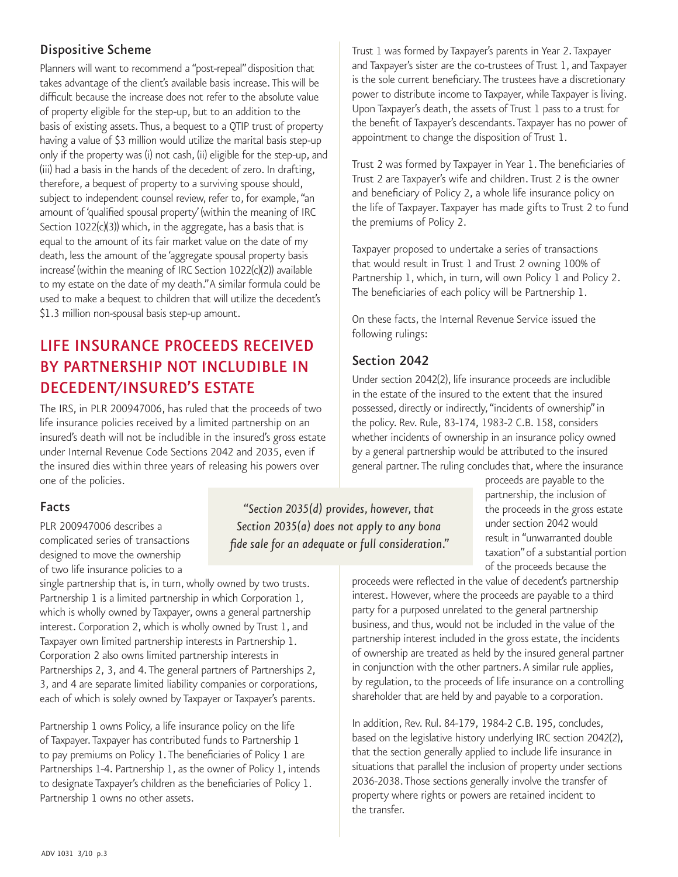#### Dispositive Scheme

Planners will want to recommend a "post-repeal" disposition that takes advantage of the client's available basis increase. This will be difficult because the increase does not refer to the absolute value of property eligible for the step-up, but to an addition to the basis of existing assets. Thus, a bequest to a QTIP trust of property having a value of \$3 million would utilize the marital basis step-up only if the property was (i) not cash, (ii) eligible for the step-up, and (iii) had a basis in the hands of the decedent of zero. In drafting, therefore, a bequest of property to a surviving spouse should, subject to independent counsel review, refer to, for example, "an amount of 'qualified spousal property' (within the meaning of IRC Section 1022(c)(3)) which, in the aggregate, has a basis that is equal to the amount of its fair market value on the date of my death, less the amount of the 'aggregate spousal property basis increase' (within the meaning of IRC Section 1022(c)(2)) available to my estate on the date of my death." A similar formula could be used to make a bequest to children that will utilize the decedent's \$1.3 million non-spousal basis step-up amount.

# Life Insurance Proceeds Received By Partnership Not Includible in Decedent/Insured's Estate

The IRS, in PLR 200947006, has ruled that the proceeds of two life insurance policies received by a limited partnership on an insured's death will not be includible in the insured's gross estate under Internal Revenue Code Sections 2042 and 2035, even if the insured dies within three years of releasing his powers over one of the policies.

#### Facts

PLR 200947006 describes a complicated series of transactions designed to move the ownership of two life insurance policies to a

single partnership that is, in turn, wholly owned by two trusts. Partnership 1 is a limited partnership in which Corporation 1, which is wholly owned by Taxpayer, owns a general partnership interest. Corporation 2, which is wholly owned by Trust 1, and Taxpayer own limited partnership interests in Partnership 1. Corporation 2 also owns limited partnership interests in Partnerships 2, 3, and 4. The general partners of Partnerships 2, 3, and 4 are separate limited liability companies or corporations, each of which is solely owned by Taxpayer or Taxpayer's parents.

Partnership 1 owns Policy, a life insurance policy on the life of Taxpayer. Taxpayer has contributed funds to Partnership 1 to pay premiums on Policy 1. The beneficiaries of Policy 1 are Partnerships 1-4. Partnership 1, as the owner of Policy 1, intends to designate Taxpayer's children as the beneficiaries of Policy 1. Partnership 1 owns no other assets.

Trust 1 was formed by Taxpayer's parents in Year 2. Taxpayer and Taxpayer's sister are the co-trustees of Trust 1, and Taxpayer is the sole current beneficiary. The trustees have a discretionary power to distribute income to Taxpayer, while Taxpayer is living. Upon Taxpayer's death, the assets of Trust 1 pass to a trust for the benefit of Taxpayer's descendants. Taxpayer has no power of appointment to change the disposition of Trust 1.

Trust 2 was formed by Taxpayer in Year 1. The beneficiaries of Trust 2 are Taxpayer's wife and children. Trust 2 is the owner and beneficiary of Policy 2, a whole life insurance policy on the life of Taxpayer. Taxpayer has made gifts to Trust 2 to fund the premiums of Policy 2.

Taxpayer proposed to undertake a series of transactions that would result in Trust 1 and Trust 2 owning 100% of Partnership 1, which, in turn, will own Policy 1 and Policy 2. The beneficiaries of each policy will be Partnership 1.

On these facts, the Internal Revenue Service issued the following rulings:

# Section 2042

Under section 2042(2), life insurance proceeds are includible in the estate of the insured to the extent that the insured possessed, directly or indirectly, "incidents of ownership" in the policy. Rev. Rule, 83-174, 1983-2 C.B. 158, considers whether incidents of ownership in an insurance policy owned by a general partnership would be attributed to the insured general partner. The ruling concludes that, where the insurance

*"Section 2035(d) provides, however, that Section 2035(a) does not apply to any bona fide sale for an adequate or full consideration."*

proceeds are payable to the partnership, the inclusion of the proceeds in the gross estate under section 2042 would result in "unwarranted double taxation" of a substantial portion of the proceeds because the

proceeds were reflected in the value of decedent's partnership interest. However, where the proceeds are payable to a third party for a purposed unrelated to the general partnership business, and thus, would not be included in the value of the partnership interest included in the gross estate, the incidents of ownership are treated as held by the insured general partner in conjunction with the other partners. A similar rule applies, by regulation, to the proceeds of life insurance on a controlling shareholder that are held by and payable to a corporation.

In addition, Rev. Rul. 84-179, 1984-2 C.B. 195, concludes, based on the legislative history underlying IRC section 2042(2), that the section generally applied to include life insurance in situations that parallel the inclusion of property under sections 2036-2038. Those sections generally involve the transfer of property where rights or powers are retained incident to the transfer.